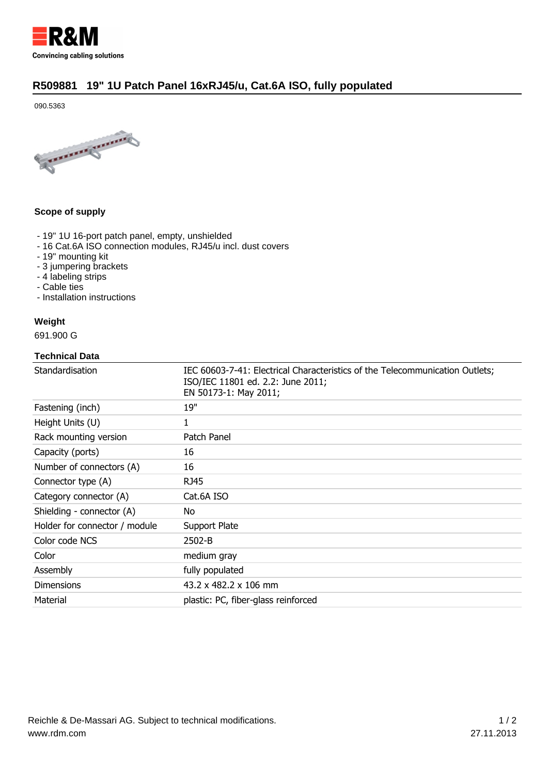

## **[R509881 19" 1U Patch Panel 16xRJ45/u, Cat.6A ISO, fully populated](http://universe.rdm.com/en/ProductDetail.aspx?prdtName=R509881)**

090.5363



#### **Scope of supply**

- 19" 1U 16-port patch panel, empty, unshielded
- 16 Cat.6A ISO connection modules, RJ45/u incl. dust covers
- 19" mounting kit
- 3 jumpering brackets
- 4 labeling strips
- Cable ties
- Installation instructions

# **Weight**

691.900 G

#### **Technical Data**

| Standardisation               | IEC 60603-7-41: Electrical Characteristics of the Telecommunication Outlets;<br>ISO/IEC 11801 ed. 2.2: June 2011;<br>EN 50173-1: May 2011; |
|-------------------------------|--------------------------------------------------------------------------------------------------------------------------------------------|
| Fastening (inch)              | 19"                                                                                                                                        |
| Height Units (U)              | 1                                                                                                                                          |
| Rack mounting version         | Patch Panel                                                                                                                                |
| Capacity (ports)              | 16                                                                                                                                         |
| Number of connectors (A)      | 16                                                                                                                                         |
| Connector type (A)            | <b>RJ45</b>                                                                                                                                |
| Category connector (A)        | Cat.6A ISO                                                                                                                                 |
| Shielding - connector (A)     | No.                                                                                                                                        |
| Holder for connector / module | Support Plate                                                                                                                              |
| Color code NCS                | $2502 - B$                                                                                                                                 |
| Color                         | medium gray                                                                                                                                |
| Assembly                      | fully populated                                                                                                                            |
| <b>Dimensions</b>             | $43.2 \times 482.2 \times 106$ mm                                                                                                          |
| Material                      | plastic: PC, fiber-glass reinforced                                                                                                        |
|                               |                                                                                                                                            |